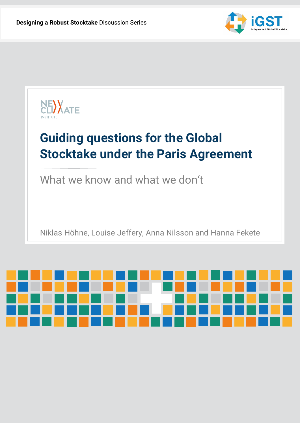

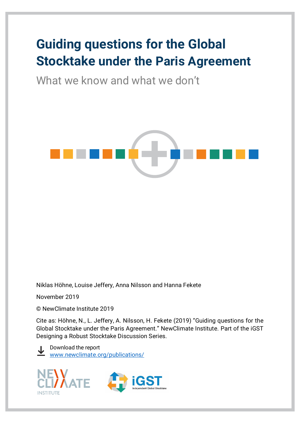# **Guiding questions for the Global Stocktake under the Paris Agreement**

What we know and what we don't



Niklas Höhne, Louise Jeffery, Anna Nilsson and Hanna Fekete

November 2019

© NewClimate Institute 2019

Cite as: Höhne, N., L. Jeffery, A. Nilsson, H. Fekete (2019) "Guiding questions for the Global Stocktake under the Paris Agreement." NewClimate Institute. Part of the iGST Designing a Robust Stocktake Discussion Series.

Download the report [www.newclimate.org/publications/](http://www.newclimate.org/publications/)



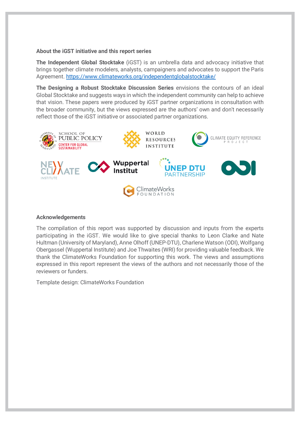#### **About the iGST initiative and this report series**

**The Independent Global Stocktake** (iGST) is an umbrella data and advocacy initiative that brings together climate modelers, analysts, campaigners and advocates to support the Paris Agreement.<https://www.climateworks.org/independentglobalstocktake/>

**The Designing a Robust Stocktake Discussion Series** envisions the contours of an ideal Global Stocktake and suggests ways in which the independent community can help to achieve that vision. These papers were produced by iGST partner organizations in consultation with the broader community, but the views expressed are the authors' own and don't necessarily reflect those of the iGST initiative or associated partner organizations.



#### **Acknowledgements**

The compilation of this report was supported by discussion and inputs from the experts participating in the iGST. We would like to give special thanks to Leon Clarke and Nate Hultman (University of Maryland), Anne Olhoff (UNEP-DTU), Charlene Watson (ODI), Wolfgang Obergassel (Wuppertal Institute) and Joe Thwaites (WRI) for providing valuable feedback. We thank the ClimateWorks Foundation for supporting this work. The views and assumptions expressed in this report represent the views of the authors and not necessarily those of the reviewers or funders.

Template design: ClimateWorks Foundation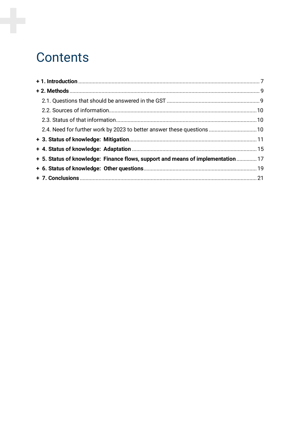# Contents

| + 5. Status of knowledge: Finance flows, support and means of implementation  17 |  |
|----------------------------------------------------------------------------------|--|
|                                                                                  |  |
|                                                                                  |  |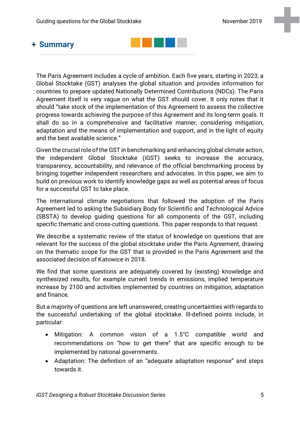# **+ Summary**



The Paris Agreement includes a cycle of ambition. Each five years, starting in 2023, a Global Stocktake (GST) analyses the global situation and provides information for countries to prepare updated Nationally Determined Contributions (NDCs). The Paris Agreement itself is very vague on what the GST should cover. It only notes that it should "take stock of the implementation of this Agreement to assess the collective progress towards achieving the purpose of this Agreement and its long-term goals. It shall do so in a comprehensive and facilitative manner, considering mitigation, adaptation and the means of implementation and support, and in the light of equity and the best available science."

Given the crucial role of the GST in benchmarking and enhancing global climate action, the independent Global Stocktake (iGST) seeks to increase the accuracy, transparency, accountability, and relevance of the official benchmarking process by bringing together independent researchers and advocates. In this paper, we aim to build on previous work to identify knowledge gaps as well as potential areas of focus for a successful GST to take place.

The international climate negotiations that followed the adoption of the Paris Agreement led to asking the Subsidiary Body for Scientific and Technological Advice (SBSTA) to develop guiding questions for all components of the GST, including specific thematic and cross-cutting questions. This paper responds to that request.

We describe a systematic review of the status of knowledge on questions that are relevant for the success of the global stocktake under the Paris Agreement, drawing on the thematic scope for the GST that is provided in the Paris Agreement and the associated decision of Katowice in 2018.

We find that some questions are adequately covered by (existing) knowledge and synthesized results, for example current trends in emissions, implied temperature increase by 2100 and activities implemented by countries on mitigation, adaptation and finance.

But a majority of questions are left unanswered, creating uncertainties with regards to the successful undertaking of the global stocktake. Ill-defined points include, in particular:

- Mitigation: A common vision of a 1.5°C compatible world and recommendations on "how to get there" that are specific enough to be implemented by national governments.
- Adaptation: The definition of an "adequate adaptation response" and steps towards it.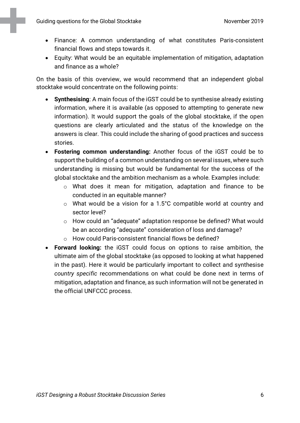- Finance: A common understanding of what constitutes Paris-consistent financial flows and steps towards it.
- Equity: What would be an equitable implementation of mitigation, adaptation and finance as a whole?

On the basis of this overview, we would recommend that an independent global stocktake would concentrate on the following points:

- **Synthesising**: A main focus of the iGST could be to synthesise already existing information, where it is available (as opposed to attempting to generate new information). It would support the goals of the global stocktake, if the open questions are clearly articulated and the status of the knowledge on the answers is clear. This could include the sharing of good practices and success stories.
- **Fostering common understanding:** Another focus of the iGST could be to support the building of a common understanding on several issues, where such understanding is missing but would be fundamental for the success of the global stocktake and the ambition mechanism as a whole. Examples include:
	- o What does it mean for mitigation, adaptation and finance to be conducted in an equitable manner?
	- o What would be a vision for a 1.5°C compatible world at country and sector level?
	- o How could an "adequate" adaptation response be defined? What would be an according "adequate" consideration of loss and damage?
	- o How could Paris-consistent financial flows be defined?
- **Forward looking:** the iGST could focus on options to raise ambition, the ultimate aim of the global stocktake (as opposed to looking at what happened in the past). Here it would be particularly important to collect and synthesise *country specific* recommendations on what could be done next in terms of mitigation, adaptation and finance, as such information will not be generated in the official UNFCCC process.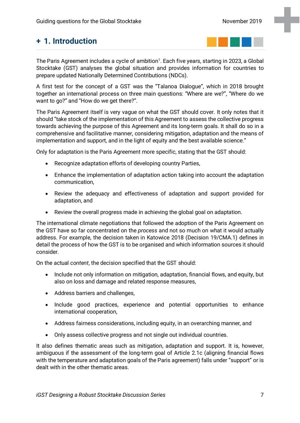# <span id="page-6-0"></span>**+ 1. Introduction**



The Paris Agreement includes a cycle of ambition<sup>1</sup>. Each five years, starting in 2023, a Global Stocktake (GST) analyses the global situation and provides information for countries to prepare updated Nationally Determined Contributions (NDCs).

A first test for the concept of a GST was the "Talanoa Dialogue", which in 2018 brought together an international process on three main questions: "Where are we?", "Where do we want to go?" and "How do we get there?".

The Paris Agreement itself is very vague on what the GST should cover. It only notes that it should "take stock of the implementation of this Agreement to assess the collective progress towards achieving the purpose of this Agreement and its long-term goals. It shall do so in a comprehensive and facilitative manner, considering mitigation, adaptation and the means of implementation and support, and in the light of equity and the best available science."

Only for adaptation is the Paris Agreement more specific, stating that the GST should:

- Recognize adaptation efforts of developing country Parties,
- Enhance the implementation of adaptation action taking into account the adaptation communication,
- Review the adequacy and effectiveness of adaptation and support provided for adaptation, and
- Review the overall progress made in achieving the global goal on adaptation.

The international climate negotiations that followed the adoption of the Paris Agreement on the GST have so far concentrated on the *process* and not so much on what it would actually address. For example, the decision taken in Katowice 2018 (Decision 19/CMA.1) defines in detail the process of how the GST is to be organised and which information sources it should consider.

On the actual *content*, the decision specified that the GST should:

- Include not only information on mitigation, adaptation, financial flows, and equity, but also on loss and damage and related response measures,
- Address barriers and challenges,
- Include good practices, experience and potential opportunities to enhance international cooperation,
- Address fairness considerations, including equity, in an overarching manner, and
- Only assess collective progress and not single out individual countries.

It also defines thematic areas such as mitigation, adaptation and support. It is, however, ambiguous if the assessment of the long-term goal of Article 2.1c (aligning financial flows with the temperature and adaptation goals of the Paris agreement) falls under "support" or is dealt with in the other thematic areas.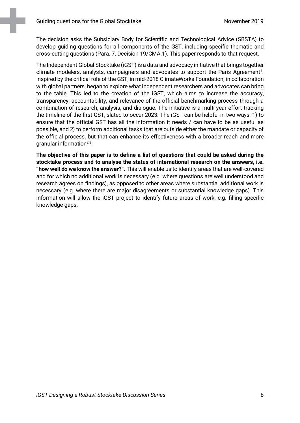The decision asks the Subsidiary Body for Scientific and Technological Advice (SBSTA) to develop guiding questions for all components of the GST, including specific thematic and cross-cutting questions (Para. 7, Decision 19/CMA.1). This paper responds to that request.

The Independent Global Stocktake (iGST) is a data and advocacy initiative that brings together climate modelers, analysts, campaigners and advocates to support the Paris Agreement<sup>1</sup>. Inspired by the critical role of the GST, in mid-2018 ClimateWorks Foundation, in collaboration with global partners, began to explore what independent researchers and advocates can bring to the table. This led to the creation of the iGST, which aims to increase the accuracy, transparency, accountability, and relevance of the official benchmarking process through a combination of research, analysis, and dialogue. The initiative is a multi-year effort tracking the timeline of the first GST, slated to occur 2023. The iGST can be helpful in two ways: 1) to ensure that the official GST has all the information it needs / can have to be as useful as possible, and 2) to perform additional tasks that are outside either the mandate or capacity of the official process, but that can enhance its effectiveness with a broader reach and more granular information $2,3$ .

**The objective of this paper is to define a list of questions that could be asked during the stocktake process and to analyse the status of international research on the answers, i.e. "how well do we know the answer?".** This will enable us to identify areas that are well-covered and for which no additional work is necessary (e.g. where questions are well understood and research agrees on findings), as opposed to other areas where substantial additional work is necessary (e.g. where there are major disagreements or substantial knowledge gaps). This information will allow the iGST project to identify future areas of work, e.g. filling specific knowledge gaps.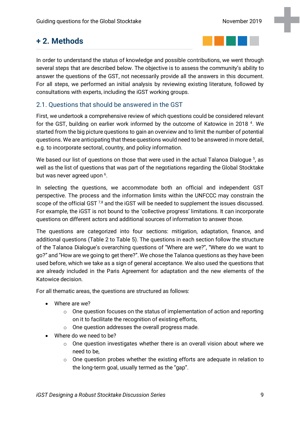# <span id="page-8-0"></span>**+ 2. Methods**



In order to understand the status of knowledge and possible contributions, we went through several steps that are described below. The objective is to assess the community's ability to answer the questions of the GST, not necessarily provide all the answers in this document. For all steps, we performed an initial analysis by reviewing existing literature, followed by consultations with experts, including the iGST working groups.

### <span id="page-8-1"></span>2.1. Questions that should be answered in the GST

First, we undertook a comprehensive review of which questions could be considered relevant for the GST, building on earlier work informed by the outcome of Katowice in 2018<sup>4</sup>. We started from the big picture questions to gain an overview and to limit the number of potential questions. We are anticipating that these questions would need to be answered in more detail, e.g. to incorporate sectoral, country, and policy information.

We based our list of questions on those that were used in the actual Talanoa Dialogue <sup>5</sup>, as well as the list of questions that was part of the negotiations regarding the Global Stocktake but was never agreed upon <sup>6</sup>.

In selecting the questions, we accommodate both an official and independent GST perspective. The process and the information limits within the UNFCCC may constrain the scope of the official GST<sup>7,8</sup> and the iGST will be needed to supplement the issues discussed. For example, the iGST is not bound to the 'collective progress' limitations. It can incorporate questions on different actors and additional sources of information to answer those.

The questions are categorized into four sections: mitigation, adaptation, finance, and additional questions [\(Table 2](#page-12-0) to [Table 5\)](#page-19-0). The questions in each section follow the structure of the Talanoa Dialogue's overarching questions of "Where are we?", "Where do we want to go?" and "How are we going to get there?". We chose the Talanoa questions as they have been used before, which we take as a sign of general acceptance. We also used the questions that are already included in the Paris Agreement for adaptation and the new elements of the Katowice decision.

For all thematic areas, the questions are structured as follows:

- Where are we?
	- $\circ$  One question focuses on the status of implementation of action and reporting on it to facilitate the recognition of existing efforts,
	- o One question addresses the overall progress made.
- Where do we need to be?
	- $\circ$  One question investigates whether there is an overall vision about where we need to be,
	- o One question probes whether the existing efforts are adequate in relation to the long-term goal, usually termed as the "gap".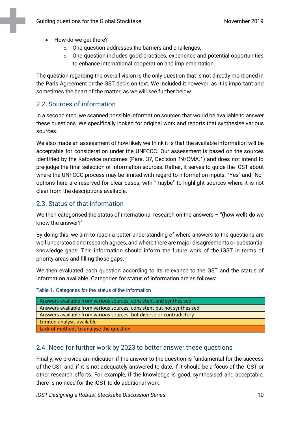- How do we get there?
	- o One question addresses the barriers and challenges,
	- o One question includes good practices, experience and potential opportunities to enhance international cooperation and implementation.

The question regarding the overall vision is the only question that is not directly mentioned in the Paris Agreement or the GST decision text. We included it however, as it is important and sometimes the heart of the matter, as we will see further below.

#### <span id="page-9-0"></span>2.2. Sources of information

In a second step, we scanned possible information sources that would be available to answer these questions. We specifically looked for original work and reports that synthesise various sources.

We also made an assessment of how likely we think it is that the available information will be acceptable for consideration under the UNFCCC. Our assessment is based on the sources identified by the Katowice outcomes (Para. 37, Decision 19/CMA.1) and does not intend to pre-judge the final selection of information sources. Rather, it serves to guide the iGST about where the UNFCCC process may be limited with regard to information inputs. "Yes" and "No" options here are reserved for clear cases, with "maybe" to highlight sources where it is not clear from the descriptions available.

### <span id="page-9-1"></span>2.3. Status of that information

We then categorised the status of international research on the answers  $-$  "(how well) do we know the answer?"

By doing this, we aim to reach a better understanding of where answers to the questions are well understood and research agrees, and where there are major disagreements or substantial knowledge gaps. This information should inform the future work of the iGST in terms of priority areas and filling those gaps.

We then evaluated each question according to its relevance to the GST and the status of information available. Categories for status of information are as follows:

Table 1. Categories for the status of the information

| Answers available from various sources, consistent and synthesised     |
|------------------------------------------------------------------------|
| Answers available from various sources, consistent but not synthesised |
| Answers available from various sources, but diverse or contradictory   |
| Limited analysis available                                             |
| Lack of methods to analyse the question                                |

### <span id="page-9-2"></span>2.4. Need for further work by 2023 to better answer these questions

Finally, we provide an indication if the answer to the question is fundamental for the success of the GST and, if it is not adequately answered to date, if it should be a focus of the iGST or other research efforts. For example, if the knowledge is good, synthesised and acceptable, there is no need for the iGST to do additional work.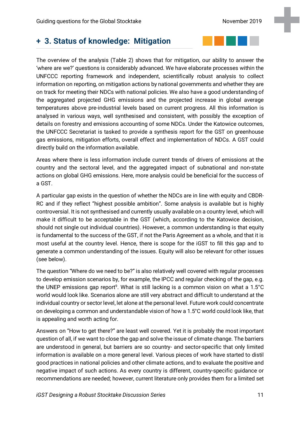# <span id="page-10-0"></span>**+ 3. Status of knowledge: Mitigation**

The overview of the analysis [\(Table 2\)](#page-12-0) shows that for mitigation, our ability to answer the 'where are we?' questions is considerably advanced. We have elaborate processes within the UNFCCC reporting framework and independent, scientifically robust analysis to collect information on reporting, on mitigation actions by national governments and whether they are on track for meeting their NDCs with national policies. We also have a good understanding of the aggregated projected GHG emissions and the projected increase in global average temperatures above pre-industrial levels based on current progress. All this information is analysed in various ways, well synthesised and consistent, with possibly the exception of details on forestry and emissions accounting of some NDCs. Under the Katowice outcomes, the UNFCCC Secretariat is tasked to provide a synthesis report for the GST on greenhouse gas emissions, mitigation efforts, overall effect and implementation of NDCs. A GST could directly build on the information available.

Areas where there is less information include current trends of drivers of emissions at the country and the sectoral level, and the aggregated impact of subnational and non-state actions on global GHG emissions. Here, more analysis could be beneficial for the success of a GST.

A particular gap exists in the question of whether the NDCs are in line with equity and CBDR-RC and if they reflect "highest possible ambition". Some analysis is available but is highly controversial. It is not synthesised and currently usually available on a country level, which will make it difficult to be acceptable in the GST (which, according to the Katowice decision, should not single out individual countries). However, a common understanding is that equity is fundamental to the success of the GST, if not the Paris Agreement as a whole, and that it is most useful at the country level. Hence, there is scope for the iGST to fill this gap and to generate a common understanding of the issues. Equity will also be relevant for other issues (see below).

The question "Where do we need to be?" is also relatively well covered with regular processes to develop emission scenarios by, for example, the IPCC and regular checking of the gap, e.g. the UNEP emissions gap report<sup>9</sup>. What is still lacking is a common vision on what a  $1.5^{\circ}$ C world would look like. Scenarios alone are still very abstract and difficult to understand at the individual country or sector level, let alone at the personal level. Future work could concentrate on developing a common and understandable vision of how a 1.5°C world could look like, that is appealing and worth acting for.

Answers on "How to get there?" are least well covered. Yet it is probably the most important question of all, if we want to close the gap and solve the issue of climate change. The barriers are understood in general, but barriers are so country- and sector-specific that only limited information is available on a more general level. Various pieces of work have started to distil good practices in national policies and other climate actions, and to evaluate the positive and negative impact of such actions. As every country is different, country-specific guidance or recommendations are needed; however, current literature only provides them for a limited set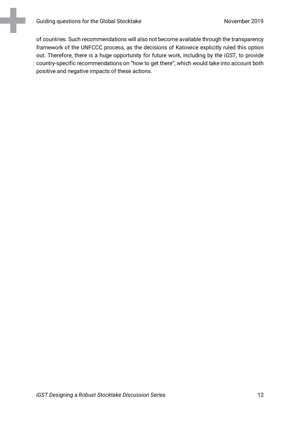of countries. Such recommendations will also not become available through the transparency framework of the UNFCCC process, as the decisions of Katowice explicitly ruled this option out. Therefore, there is a huge opportunity for future work, including by the iGST, to provide country-specific recommendations on "how to get there", which would take into account both positive and negative impacts of these actions.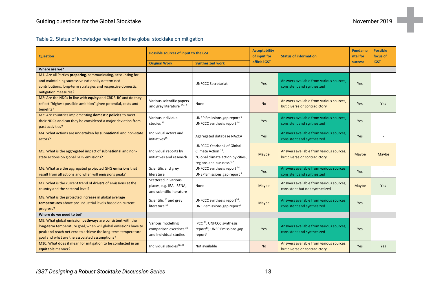<span id="page-12-0"></span>

| <b>Question</b>                                                                                                                                                                                                                              | Possible sources of input to the GST                                              |                                                                                                                                   | <b>Acceptability</b><br>of input for | <b>Status of information</b>                                              | <b>Fundame</b><br>ntal for | <b>Possible</b><br>focus of |
|----------------------------------------------------------------------------------------------------------------------------------------------------------------------------------------------------------------------------------------------|-----------------------------------------------------------------------------------|-----------------------------------------------------------------------------------------------------------------------------------|--------------------------------------|---------------------------------------------------------------------------|----------------------------|-----------------------------|
|                                                                                                                                                                                                                                              | <b>Original Work</b>                                                              | <b>Synthesized work</b>                                                                                                           | official GST                         |                                                                           | <b>SUCCESS</b>             | <b>iGST</b>                 |
| Where are we?                                                                                                                                                                                                                                |                                                                                   |                                                                                                                                   |                                      |                                                                           |                            |                             |
| M1. Are all Parties preparing, communicating, accounting for                                                                                                                                                                                 |                                                                                   |                                                                                                                                   |                                      |                                                                           |                            |                             |
| and maintaining successive nationally determined<br>contributions, long-term strategies and respective domestic<br>mitigation measures?                                                                                                      |                                                                                   | <b>UNFCCC Secretariat</b>                                                                                                         | Yes                                  | Answers available from various sources.<br>consistent and synthesized     | Yes                        |                             |
| M2: Are the NDCs in line with equity and CBDR-RC and do they                                                                                                                                                                                 |                                                                                   |                                                                                                                                   |                                      |                                                                           |                            |                             |
| reflect "highest possible ambition" given potential, costs and<br>benefits?                                                                                                                                                                  | Various scientific papers<br>and grey literature 10-12                            | None                                                                                                                              | <b>No</b>                            | Answers available from various sources.<br>but diverse or contradictory   | Yes                        | <b>Yes</b>                  |
| M3: Are countries implementing domestic policies to meet<br>their NDCs and can they be considered a major deviation from<br>past activities?                                                                                                 | Various individual<br>studies <sup>13</sup>                                       | UNEP Emissions gap report <sup>9</sup><br>UNFCCC synthesis report <sup>14</sup>                                                   | Yes                                  | Answers available from various sources.<br>consistent and synthesized     | Yes                        |                             |
| M4. What actions are undertaken by subnational and non-state<br>actors?                                                                                                                                                                      | Individual actors and<br>initiatives <sup>15</sup>                                | Aggregated database NAZCA                                                                                                         | Yes                                  | Answers available from various sources.<br>consistent and synthesized     | Yes                        |                             |
| M5. What is the aggregated impact of subnational and non-<br>state actions on global GHG emissions?                                                                                                                                          | Individual reports by<br>initiatives and research                                 | <b>UNFCCC Yearbook of Global</b><br>Climate Action 16<br>"Global climate action by cities,<br>regions and business" <sup>17</sup> | Maybe                                | Answers available from various sources.<br>but diverse or contradictory   | Maybe                      | Maybe                       |
| M6. What are the aggregated projected GHG emissions that<br>result from all actions and when will emissions peak?                                                                                                                            | Scientific and grey<br>literature                                                 | UNFCCC synthesis report <sup>14</sup> ,<br>UNEP Emissions gap report <sup>9</sup>                                                 | Yes                                  | Answers available from various sources.<br>consistent and synthesized     | Yes                        |                             |
| M7. What is the current trend of drivers of emissions at the<br>country and the sectoral level?                                                                                                                                              | Scattered in various<br>places, e.g. IEA, IRENA,<br>and scientific literature     | None                                                                                                                              | Maybe                                | Answers available from various sources.<br>consistent but not synthesized | Maybe                      | <b>Yes</b>                  |
| M8. What is the projected increase in global average<br>temperatures above pre-industrial levels based on current<br>progress?                                                                                                               | Scientific <sup>18</sup> and grey<br>literature <sup>19</sup>                     | UNFCCC synthesis report $^{14}$ ,<br>UNEP emissions gap report <sup>9</sup>                                                       | Maybe                                | Answers available from various sources.<br>consistent and synthesized     | Yes                        |                             |
| Where do we need to be?                                                                                                                                                                                                                      |                                                                                   |                                                                                                                                   |                                      |                                                                           |                            |                             |
| M9. What global emission pathways are consistent with the<br>long-term temperature goal, when will global emissions have to<br>peak and reach net zero to achieve the long-term temperature<br>goal and what are the associated assumptions? | Various modelling<br>comparison exercises <sup>20</sup><br>and individual studies | IPCC <sup>21</sup> , UNFCCC synthesis<br>report <sup>14</sup> , UNEP Emissions gap<br>report <sup>9</sup>                         | Yes                                  | Answers available from various sources.<br>consistent and synthesized     | Yes                        |                             |
| M10. What does it mean for mitigation to be conducted in an<br>equitable manner?                                                                                                                                                             | Individual studies <sup>10-12</sup>                                               | Not available                                                                                                                     | <b>No</b>                            | Answers available from various sources.<br>but diverse or contradictory   | Yes                        | <b>Yes</b>                  |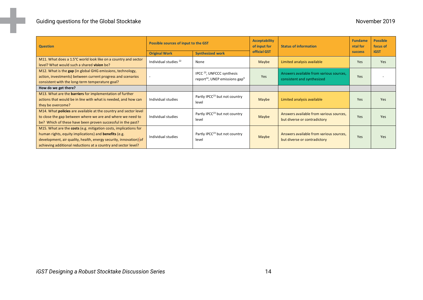| <b>Question</b>                                                                                                                                                                                                                                                         | Possible sources of input to the GST |                                                                                                 | <b>Acceptability</b><br>of input for | <b>Status of information</b>                                            | <b>Fundame</b><br>ntal for | <b>Possible</b><br>focus of |
|-------------------------------------------------------------------------------------------------------------------------------------------------------------------------------------------------------------------------------------------------------------------------|--------------------------------------|-------------------------------------------------------------------------------------------------|--------------------------------------|-------------------------------------------------------------------------|----------------------------|-----------------------------|
|                                                                                                                                                                                                                                                                         | <b>Original Work</b>                 | <b>Synthesized work</b>                                                                         | official GST                         |                                                                         | <b>SUCCESS</b>             | <b>iGST</b>                 |
| M11. What does a 1.5°C world look like on a country and sector<br>level? What would such a shared vision be?                                                                                                                                                            | Individual studies <sup>22</sup>     | None                                                                                            | Maybe                                | Limited analysis available                                              | <b>Yes</b>                 | Yes                         |
| M12. What is the gap (in global GHG emissions, technology,<br>action, investments) between current progress and scenarios<br>consistent with the long-term temperature goal?                                                                                            |                                      | IPCC <sup>23</sup> , UNFCCC synthesis<br>report <sup>14</sup> , UNEP emissions gap <sup>9</sup> | Yes                                  | Answers available from various sources.<br>consistent and synthesized   | <b>Yes</b>                 |                             |
| How do we get there?                                                                                                                                                                                                                                                    |                                      |                                                                                                 |                                      |                                                                         |                            |                             |
| M13. What are the <b>barriers</b> for implementation of further<br>actions that would be in line with what is needed, and how can<br>they be overcome?                                                                                                                  | Individual studies                   | Partly IPCC <sup>23</sup> but not country<br>level                                              | Maybe                                | Limited analysis available                                              | Yes                        | Yes                         |
| M14. What <b>policies</b> are available at the country and sector level<br>to close the gap between where we are and where we need to<br>be? Which of these have been proven successful in the past?                                                                    | Individual studies                   | Partly IPCC <sup>23</sup> but not country<br>level                                              | Maybe                                | Answers available from various sources,<br>but diverse or contradictory | <b>Yes</b>                 | Yes                         |
| M15. What are the costs (e.g. mitigation costs, implications for<br>human rights, equity implications) and <b>benefits</b> (e.g.<br>development, air quality, health, energy security, innovation) of<br>achieving additional reductions at a country and sector level? | Individual studies                   | Partly IPCC <sup>23</sup> but not country<br>level                                              | Maybe                                | Answers available from various sources,<br>but diverse or contradictory | Yes                        | Yes                         |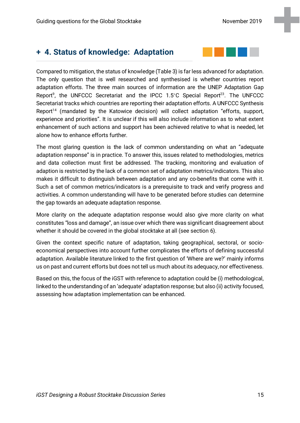# <span id="page-14-0"></span>**+ 4. Status of knowledge: Adaptation**

Compared to mitigation, the status of knowledge [\(Table 3\)](#page-15-0) is far less advanced for adaptation. The only question that is well researched and synthesised is whether countries report adaptation efforts. The three main sources of information are the UNEP Adaptation Gap Report<sup>9</sup>, the UNFCCC Secretariat and the IPCC 1.5°C Special Report<sup>23</sup>. The UNFCCC Secretariat tracks which countries are reporting their adaptation efforts. A UNFCCC Synthesis Report<sup>14</sup> (mandated by the Katowice decision) will collect adaptation "efforts, support, experience and priorities". It is unclear if this will also include information as to what extent enhancement of such actions and support has been achieved relative to what is needed, let alone how to enhance efforts further.

The most glaring question is the lack of common understanding on what an "adequate adaptation response" is in practice. To answer this, issues related to methodologies, metrics and data collection must first be addressed. The tracking, monitoring and evaluation of adaption is restricted by the lack of a common set of adaptation metrics/indicators. This also makes it difficult to distinguish between adaptation and any co-benefits that come with it. Such a set of common metrics/indicators is a prerequisite to track and verify progress and activities. A common understanding will have to be generated before studies can determine the gap towards an adequate adaptation response.

More clarity on the adequate adaptation response would also give more clarity on what constitutes "loss and damage", an issue over which there was significant disagreement about whether it should be covered in the global stocktake at all (see section 6).

Given the context specific nature of adaptation, taking geographical, sectoral, or socioeconomical perspectives into account further complicates the efforts of defining successful adaptation. Available literature linked to the first question of 'Where are we?' mainly informs us on past and current efforts but does not tell us much about its adequacy, nor effectiveness.

Based on this, the focus of the iGST with reference to adaptation could be (i) methodological, linked to the understanding of an 'adequate' adaptation response; but also (ii) activity focused, assessing how adaptation implementation can be enhanced.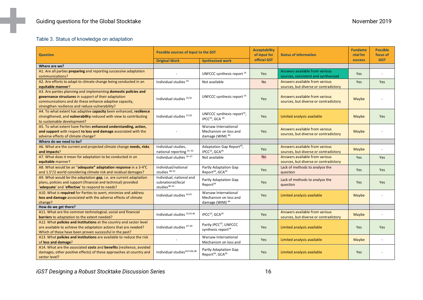#### Table 3. Status of knowledge on adaptation

<span id="page-15-0"></span>

| <b>Question</b>                                                                               | Possible sources of input to the GST     |                                                                          | <b>Acceptability</b><br>of input for | <b>Status of information</b>          | <b>Fundame</b><br>ntal for | <b>Possible</b><br>focus of |
|-----------------------------------------------------------------------------------------------|------------------------------------------|--------------------------------------------------------------------------|--------------------------------------|---------------------------------------|----------------------------|-----------------------------|
|                                                                                               | <b>Original Work</b>                     | <b>Synthesized work</b>                                                  | official GST                         |                                       | <b>success</b>             | <b>iGST</b>                 |
| Where are we?                                                                                 |                                          |                                                                          |                                      |                                       |                            |                             |
| A1. Are all parties preparing and reporting successive adaptation                             |                                          | UNFCCC synthesis report 14                                               | Yes                                  | Answers available from various        | Yes                        | ÷                           |
| communications?                                                                               |                                          |                                                                          |                                      | sources, consistent and synthesized   |                            |                             |
| A2. Are efforts to adapt to climate change being conducted in an                              | Individual studies <sup>24</sup>         | Not available                                                            | <b>No</b>                            | Answers available from various        | Yes                        | <b>Yes</b>                  |
| equitable manner?                                                                             |                                          |                                                                          |                                      | sources, but diverse or contradictory |                            |                             |
| A3. Are parties planning and implementing domestic policies and                               |                                          |                                                                          |                                      |                                       |                            |                             |
| governance structures in support of their adaptation                                          | Individual studies <sup>25,26</sup>      | UNFCCC synthesis report 14                                               | Yes                                  | Answers available from various        | Maybe                      |                             |
| communications and do these enhance adaptive capacity,                                        |                                          |                                                                          |                                      | sources, but diverse or contradictory |                            |                             |
| strengthen resilience and reduce vulnerability?                                               |                                          |                                                                          |                                      |                                       |                            |                             |
| A4. To what extent has adaptive capacity been enhanced, resilience                            |                                          | UNFCCC synthesis report $^{14}$ ,                                        |                                      |                                       |                            |                             |
| strengthened, and vulnerability reduced with view to contributing                             | Individual studies <sup>27,28</sup>      | IPCC <sup>23</sup> , GCA <sup>29</sup>                                   | Yes                                  | Limited analysis available            | Maybe                      | <b>Yes</b>                  |
| to sustainable development?                                                                   |                                          |                                                                          |                                      |                                       |                            |                             |
| A5. To what extent have Parties enhanced understanding, action,                               |                                          | Warsaw International                                                     |                                      | Answers available from various        |                            |                             |
| and support with respect to loss and damage associated with the                               |                                          | Mechanism on loss and                                                    | Yes                                  | sources, but diverse or contradictory | Maybe                      |                             |
| adverse effects of climate change?                                                            |                                          | damage (WIM) <sup>30</sup>                                               |                                      |                                       |                            |                             |
| Where do we need to be?<br>A6. What are the current and projected climate change needs, risks | Individual studies,                      | Adaptation Gap Report <sup>34</sup> ,                                    |                                      | Answers available from various        |                            |                             |
| and impacts?                                                                                  | national reporting 31-33                 | IPCC <sup>23</sup> , GCA <sup>29</sup>                                   | Yes                                  | sources, but diverse or contradictory | Maybe                      | ÷                           |
| A7. What does it mean for adaptation to be conducted in an                                    | Individual studies 35-37                 | Not available                                                            | <b>No</b>                            | Answers available from various        | Yes                        | <b>Yes</b>                  |
| equitable manner?                                                                             |                                          |                                                                          |                                      | sources, but diverse or contradictory |                            |                             |
| A8. What would be an "adequate" adaptation response in a 3-4°C                                | Individual/national                      | <b>Partly Adaptation Gap</b>                                             | Yes                                  | Lack of methods to analyse the        | Yes                        | Yes                         |
| and 1.5°/2 world considering climate risk and residual damages?                               | studies <sup>38-41</sup>                 | Report <sup>34</sup> , GCA <sup>29</sup>                                 |                                      | question                              |                            |                             |
| A9. What would be the adaptation gap, i.e. are current adaptation                             | Individual, national and                 | Partly Adaptation Gap                                                    |                                      | Lack of methods to analyse the        |                            |                             |
| plans, policies and support (financial and technical) provided                                | subnational/local                        | Report <sup>34</sup>                                                     | Yes                                  | question                              | Yes                        | Yes                         |
| 'adequate' and 'effective' to respond to needs?                                               | studies <sup>38-41</sup>                 |                                                                          |                                      |                                       |                            |                             |
| A10. What is required for Parties to avert, minimize and address                              | Individual studies 42,43                 | Warsaw International                                                     | Yes                                  | Limited analysis available            | Maybe                      |                             |
| loss and damage associated with the adverse effects of climate                                |                                          | Mechanism on loss and                                                    |                                      |                                       |                            |                             |
| change?<br>How do we get there?                                                               |                                          | damage (WIM) <sup>44</sup>                                               |                                      |                                       |                            |                             |
| A11. What are the common technological, social and financial                                  |                                          |                                                                          |                                      | Answers available from various        |                            |                             |
| barriers to adaptation to the extent needed?                                                  | Individual studies 25,45,46              | IPCC <sup>23</sup> , GCA <sup>29</sup>                                   | Yes                                  | sources, but diverse or contradictory | Maybe                      |                             |
| A12. What policies and institutions at the country and sector level                           |                                          |                                                                          |                                      |                                       |                            |                             |
| are available to achieve the adaptation actions that are needed?                              | Individual studies 47-49                 | Partly IPCC <sup>23</sup> , UNFCCC                                       | Yes                                  | Limited analysis available            | Yes                        | Yes                         |
| Which of these have been proven successful in the past?                                       |                                          | synthesis report <sup>14</sup>                                           |                                      |                                       |                            |                             |
| A13. What policies and institutions are available to reduce the risk                          |                                          | Warsaw International                                                     |                                      |                                       |                            |                             |
| of loss and damage?                                                                           |                                          | Mechanism on loss and                                                    | Yes                                  | Limited analysis available            | Maybe                      | $\overline{\phantom{a}}$    |
| A14. What are the associated costs and benefits (resilience, avoided                          |                                          |                                                                          |                                      |                                       |                            |                             |
| damages, other positive effects) of these approaches at country and                           | Individual studies <sup>50,5146,48</sup> | <b>Partly Adaptation Gap</b><br>Report <sup>34</sup> , GCA <sup>29</sup> | Yes                                  | Limited analysis available            | Yes                        |                             |
| sector level?                                                                                 |                                          |                                                                          |                                      |                                       |                            |                             |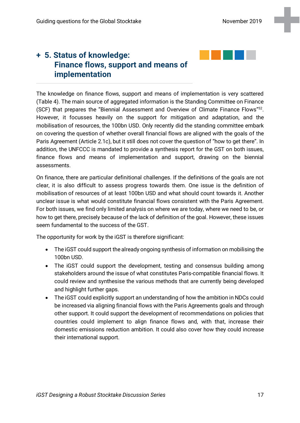# <span id="page-16-0"></span>**+ 5. Status of knowledge: Finance flows, support and means of implementation**

The knowledge on finance flows, support and means of implementation is very scattered [\(Table 4\)](#page-17-0). The main source of aggregated information is the Standing Committee on Finance (SCF) that prepares the "Biennial Assessment and Overview of Climate Finance Flows"52. However, it focusses heavily on the support for mitigation and adaptation, and the mobilisation of resources, the 100bn USD. Only recently did the standing committee embark on covering the question of whether overall financial flows are aligned with the goals of the Paris Agreement (Article 2.1c), but it still does not cover the question of "how to get there". In addition, the UNFCCC is mandated to provide a synthesis report for the GST on both issues, finance flows and means of implementation and support, drawing on the biennial assessments.

On finance, there are particular definitional challenges. If the definitions of the goals are not clear, it is also difficult to assess progress towards them. One issue is the definition of mobilisation of resources of at least 100bn USD and what should count towards it. Another unclear issue is what would constitute financial flows consistent with the Paris Agreement. For both issues, we find only limited analysis on where we are today, where we need to be, or how to get there, precisely because of the lack of definition of the goal. However, these issues seem fundamental to the success of the GST.

The opportunity for work by the iGST is therefore significant:

- The iGST could support the already ongoing synthesis of information on mobilising the 100bn USD.
- The iGST could support the development, testing and consensus building among stakeholders around the issue of what constitutes Paris-compatible financial flows. It could review and synthesise the various methods that are currently being developed and highlight further gaps.
- The iGST could explicitly support an understanding of how the ambition in NDCs could be increased via aligning financial flows with the Paris Agreements goals and through other support. It could support the development of recommendations on policies that countries could implement to align finance flows and, with that, increase their domestic emissions reduction ambition. It could also cover how they could increase their international support.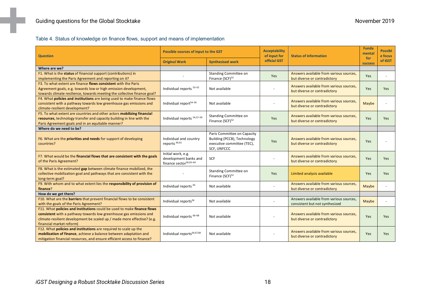Table 4. Status of knowledge on finance flows, support and means of implementation

<span id="page-17-0"></span>

| <b>Question</b>                                                                                                                                                                                                                                      | <b>Possible sources of input to the GST</b>                                       |                                                                                                                | <b>Acceptability</b><br>of input for | <b>Status of information</b>                                              | <b>Funda</b><br>mental | <b>Possibl</b><br>e focus |
|------------------------------------------------------------------------------------------------------------------------------------------------------------------------------------------------------------------------------------------------------|-----------------------------------------------------------------------------------|----------------------------------------------------------------------------------------------------------------|--------------------------------------|---------------------------------------------------------------------------|------------------------|---------------------------|
|                                                                                                                                                                                                                                                      | <b>Original Work</b>                                                              | <b>Synthesised work</b>                                                                                        | official GST                         |                                                                           | for<br><b>success</b>  | of iGST                   |
| Where are we?                                                                                                                                                                                                                                        |                                                                                   |                                                                                                                |                                      |                                                                           |                        |                           |
| F1. What is the status of financial support (contributions) in<br>implementing the Paris Agreement and reporting on it?                                                                                                                              |                                                                                   | <b>Standing Committee on</b><br>Finance (SCF) <sup>52</sup>                                                    | Yes                                  | Answers available from various sources,<br>but diverse or contradictory   | Yes                    |                           |
| F3. To what extent are finance flows consistent with the Paris<br>Agreement goals, e.g. towards low or high emission development,<br>towards climate resilience, towards meeting the collective finance goal?                                        | Individual reports <sup>53-55</sup>                                               | Not available                                                                                                  |                                      | Answers available from various sources,<br>but diverse or contradictory   | Yes                    | Yes                       |
| F4. What policies and institutions are being used to make finance flows<br>consistent with a pathway towards low greenhouse gas emissions and<br>climate-resilient development?                                                                      | Individual report <sup>54-56</sup>                                                | Not available                                                                                                  |                                      | Answers available from various sources,<br>but diverse or contradictory   | Maybe                  |                           |
| F5. To what extent are countries and other actors mobilizing financial<br>resources, technology transfer and capacity building in line with the<br>Paris Agreement goals and in an equitable manner?                                                 | Individual reports 54,57-59                                                       | <b>Standing Committee on</b><br>Finance (SCF) <sup>52</sup>                                                    | Yes                                  | Answers available from various sources.<br>but diverse or contradictory   | <b>Yes</b>             | Yes                       |
| Where do we need to be?                                                                                                                                                                                                                              |                                                                                   |                                                                                                                |                                      |                                                                           |                        |                           |
| F6. What are the priorities and needs for support of developing<br>countries?                                                                                                                                                                        | Individual and country<br>reports <sup>60,61</sup>                                | Paris Committee on Capacity<br>Building (PCCB), Technology<br>executive committee (TEC),<br><b>SCF, UNFCCC</b> | Yes                                  | Answers available from various sources.<br>but diverse or contradictory   | Yes                    |                           |
| F7. What would be the financial flows that are consistent with the goals<br>of the Paris Agreement?                                                                                                                                                  | Initial work, e.g.<br>development banks and<br>finance sector <sup>56,62-64</sup> | SCF                                                                                                            |                                      | Answers available from various sources.<br>but diverse or contradictory   | Yes                    | Yes                       |
| F8. What is the estimated gap between climate finance mobilized, the<br>collective mobilization goal and pathways that are consistent with the<br>long-term goal?                                                                                    |                                                                                   | <b>Standing Committee on</b><br>Finance (SCF) <sup>52</sup>                                                    | Yes                                  | Limited analysis available                                                | <b>Yes</b>             | Yes                       |
| F9. With whom and to what extent lies the responsibility of provision of<br>finance?                                                                                                                                                                 | Individual reports <sup>65</sup>                                                  | Not available                                                                                                  |                                      | Answers available from various sources,<br>but diverse or contradictory   | Maybe                  |                           |
| How do we get there?                                                                                                                                                                                                                                 |                                                                                   |                                                                                                                |                                      |                                                                           |                        |                           |
| F10. What are the barriers that prevent financial flows to be consistent<br>with the goals of the Paris Agreement?                                                                                                                                   | Individual reports <sup>56</sup>                                                  | Not available                                                                                                  |                                      | Answers available from various sources,<br>consistent but not synthesized | Maybe                  |                           |
| F11. What policies and institutions could be used to make finance flows<br>consistent with a pathway towards low greenhouse gas emissions and<br>climate-resilient development be scaled up / made more effective? (e.g.<br>financial market reform) | Individual reports 66-68                                                          | Not available                                                                                                  |                                      | Answers available from various sources.<br>but diverse or contradictory   | <b>Yes</b>             | <b>Yes</b>                |
| F12. What policies and institutions are required to scale up the<br>mobilization of finance, achieve a balance between adaptation and<br>mitigation financial resources, and ensure efficient access to finance?                                     | Individual reports <sup>64,67,68</sup>                                            | Not available                                                                                                  |                                      | Answers available from various sources.<br>but diverse or contradictory   | <b>Yes</b>             | Yes                       |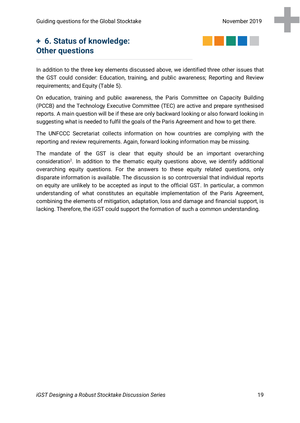# <span id="page-18-0"></span>**+ 6. Status of knowledge: Other questions**



In addition to the three key elements discussed above, we identified three other issues that the GST could consider: Education, training, and public awareness; Reporting and Review requirements; and Equity [\(Table 5\)](#page-19-0).

On education, training and public awareness, the Paris Committee on Capacity Building (PCCB) and the Technology Executive Committee (TEC) are active and prepare synthesised reports. A main question will be if these are only backward looking or also forward looking in suggesting what is needed to fulfil the goals of the Paris Agreement and how to get there.

The UNFCCC Secretariat collects information on how countries are complying with the reporting and review requirements. Again, forward looking information may be missing.

The mandate of the GST is clear that equity should be an important overarching consideration<sup>2</sup>. In addition to the thematic equity questions above, we identify additional overarching equity questions. For the answers to these equity related questions, only disparate information is available. The discussion is so controversial that individual reports on equity are unlikely to be accepted as input to the official GST. In particular, a common understanding of what constitutes an equitable implementation of the Paris Agreement, combining the elements of mitigation, adaptation, loss and damage and financial support, is lacking. Therefore, the iGST could support the formation of such a common understanding.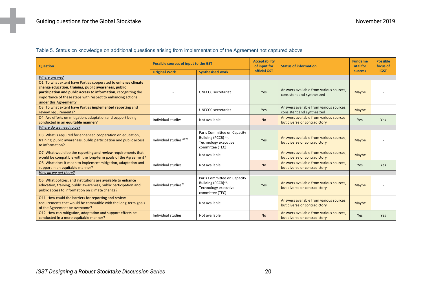#### Table 5. Status on knowledge on additional questions arising from implementation of the Agreement not captured above

<span id="page-19-0"></span>

| <b>Question</b>                                                                                                                                                                                                                                                                  | Possible sources of input to the GST |                                                                                                           | <b>Acceptability</b><br>of input for | <b>Status of information</b>                                            | <b>Fundame</b><br>ntal for | <b>Possible</b><br>focus of |
|----------------------------------------------------------------------------------------------------------------------------------------------------------------------------------------------------------------------------------------------------------------------------------|--------------------------------------|-----------------------------------------------------------------------------------------------------------|--------------------------------------|-------------------------------------------------------------------------|----------------------------|-----------------------------|
|                                                                                                                                                                                                                                                                                  | <b>Original Work</b>                 | <b>Synthesised work</b>                                                                                   |                                      | official GST                                                            |                            | <b>iGST</b>                 |
| Where are we?                                                                                                                                                                                                                                                                    |                                      |                                                                                                           |                                      |                                                                         |                            |                             |
| O1. To what extent have Parties cooperated to enhance climate<br>change education, training, public awareness, public<br>participation and public access to information, recognizing the<br>importance of these steps with respect to enhancing actions<br>under this Agreement? |                                      | <b>UNFCCC</b> secretariat                                                                                 | Yes                                  | Answers available from various sources,<br>consistent and synthesized   | Maybe                      |                             |
| O3. To what extent have Parties implemented reporting and<br>review requirements?                                                                                                                                                                                                |                                      | <b>UNFCCC</b> secretariat                                                                                 | Yes                                  | Answers available from various sources.<br>consistent and synthesized   | Maybe                      |                             |
| O4. Are efforts on mitigation, adaptation and support being<br>conducted in an equitable manner?                                                                                                                                                                                 | Individual studies                   | Not available                                                                                             | <b>No</b>                            | Answers available from various sources.<br>but diverse or contradictory | Yes                        | Yes                         |
| Where do we need to be?                                                                                                                                                                                                                                                          |                                      |                                                                                                           |                                      |                                                                         |                            |                             |
| O3. What is required for enhanced cooperation on education,<br>training, public awareness, public participation and public access<br>to information?                                                                                                                             | Individual studies 69,70             | Paris Committee on Capacity<br>Building (PCCB) <sup>71</sup> ,<br>Technology executive<br>committee (TEC) | Yes                                  | Answers available from various sources.<br>but diverse or contradictory | Maybe                      |                             |
| O7. What would be the reporting and review requirements that<br>would be compatible with the long-term goals of the Agreement?                                                                                                                                                   |                                      | Not available                                                                                             |                                      | Answers available from various sources.<br>but diverse or contradictory | Maybe                      | $\overline{\phantom{a}}$    |
| O8. What does it mean to implement mitigation, adaptation and<br>support in an equitable manner?                                                                                                                                                                                 | Individual studies                   | Not available                                                                                             | <b>No</b>                            | Answers available from various sources.<br>but diverse or contradictory | Yes                        | Yes                         |
| How do we get there?                                                                                                                                                                                                                                                             |                                      |                                                                                                           |                                      |                                                                         |                            |                             |
| O5. What policies, and institutions are available to enhance<br>education, training, public awareness, public participation and<br>public access to information on climate change?                                                                                               | Individual studies <sup>70</sup>     | Paris Committee on Capacity<br>Building (PCCB) <sup>71</sup> ,<br>Technology executive<br>committee (TEC) | Yes                                  | Answers available from various sources.<br>but diverse or contradictory | Maybe                      |                             |
| 011. How could the barriers for reporting and review<br>requirements that would be compatible with the long-term goals<br>of the Agreement be overcome?                                                                                                                          |                                      | Not available                                                                                             |                                      | Answers available from various sources.<br>but diverse or contradictory | Maybe                      |                             |
| O12. How can mitigation, adaptation and support efforts be<br>conducted in a more equitable manner?                                                                                                                                                                              | Individual studies                   | Not available                                                                                             | <b>No</b>                            | Answers available from various sources.<br>but diverse or contradictory | <b>Yes</b>                 | Yes                         |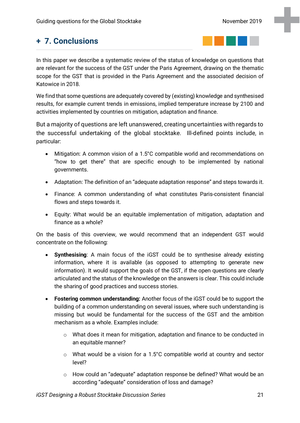# <span id="page-20-0"></span>**+ 7. Conclusions**



In this paper we describe a systematic review of the status of knowledge on questions that are relevant for the success of the GST under the Paris Agreement, drawing on the thematic scope for the GST that is provided in the Paris Agreement and the associated decision of Katowice in 2018.

We find that some questions are adequately covered by (existing) knowledge and synthesised results, for example current trends in emissions, implied temperature increase by 2100 and activities implemented by countries on mitigation, adaptation and finance.

But a majority of questions are left unanswered, creating uncertainties with regards to the successful undertaking of the global stocktake. Ill-defined points include, in particular:

- Mitigation: A common vision of a 1.5°C compatible world and recommendations on "how to get there" that are specific enough to be implemented by national governments.
- Adaptation: The definition of an "adequate adaptation response" and steps towards it.
- Finance: A common understanding of what constitutes Paris-consistent financial flows and steps towards it.
- Equity: What would be an equitable implementation of mitigation, adaptation and finance as a whole?

On the basis of this overview, we would recommend that an independent GST would concentrate on the following:

- **Synthesising**: A main focus of the iGST could be to synthesise already existing information, where it is available (as opposed to attempting to generate new information). It would support the goals of the GST, if the open questions are clearly articulated and the status of the knowledge on the answers is clear. This could include the sharing of good practices and success stories.
- **Fostering common understanding:** Another focus of the iGST could be to support the building of a common understanding on several issues, where such understanding is missing but would be fundamental for the success of the GST and the ambition mechanism as a whole. Examples include:
	- o What does it mean for mitigation, adaptation and finance to be conducted in an equitable manner?
	- o What would be a vision for a 1.5°C compatible world at country and sector level?
	- o How could an "adequate" adaptation response be defined? What would be an according "adequate" consideration of loss and damage?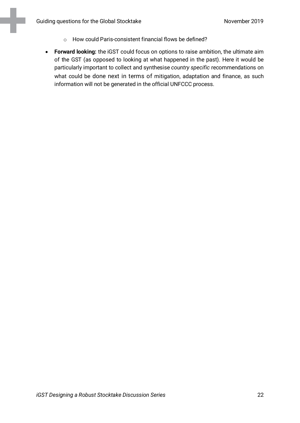- o How could Paris-consistent financial flows be defined?
- **Forward looking:** the iGST could focus on options to raise ambition, the ultimate aim of the GST (as opposed to looking at what happened in the past). Here it would be particularly important to collect and synthesise *country specific* recommendations on what could be done next in terms of mitigation, adaptation and finance, as such information will not be generated in the official UNFCCC process.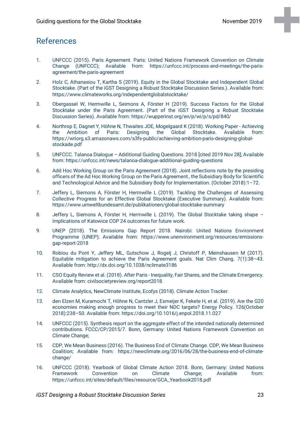## References

- 1. UNFCCC (2015). Paris Agreement. Paris: United Nations Framework Convention on Climate Change (UNFCCC); Available from: https://unfccc.int/process-and-meetings/the-parisagreement/the-paris-agreement
- 2. Holz C, Athanasiou T, Kartha S (2019). Equity in the Global Stocktake and Independent Global Stocktake. (Part of the iGST Designing a Robust Stocktake Discussion Series.). Available from: https://www.climateworks.org/independentglobalstocktake/
- 3. Obergassel W, Hermwille L, Seimons A, Förster H (2019). Success Factors for the Global Stocktake under the Paris Agreement. (Part of the iGST Designing a Robust Stocktake Discussion Series). Available from: https://wupperinst.org/en/p/wi/p/s/pd/840/
- 4. Northrop E, Dagnet Y, Höhne N, Thwaites JOE, Mogelgaard K (2018). Working Paper Achieving the Ambition of Paris: Designing the Global Stocktake. Available from: https://wriorg.s3.amazonaws.com/s3fs-public/achieving-ambition-paris-designing-globalstockade.pdf
- 5. UNFCCC. Talanoa Dialogue Additional Guiding Questions. 2018 [cited 2019 Nov 28]; Available from: https://unfccc.int/news/talanoa-dialogue-additional-guiding-questions
- 6. Add Hoc Working Group on the Paris Agreement (2018). Joint reflections note by the presiding officers of the Ad Hoc Working Group on the Paris Agreement , the Subsidiary Body for Scientific and Technological Advice and the Subsidiary Body for Implementation. (October 2018):1–72.
- 7. Jeffery L, Siemons A, Förster H, Hermwille L (2019). Tackling the Challenges of Assessing Collective Progress for an Effective Global Stocktake (Executive Summary). Available from: https://www.umweltbundesamt.de/publikationen/global-stocktake-summary
- 8. Jeffery L, Siemons A, Förster H, Hermwille L (2019). The Global Stocktake taking shape Implications of Katowice COP 24 outcomes for future work.
- 9. UNEP (2018). The Emissions Gap Report 2018. Nairobi: United Nations Environment Programme (UNEP); Available from: https://www.unenvironment.org/resources/emissionsgap-report-2018
- 10. Robiou du Pont Y, Jeffery ML, Gutschow J, Rogelj J, Christoff P, Meinshausen M (2017). Equitable mitigation to achieve the Paris Agreement goals. Nat Clim Chang. 7(1):38–43. Available from: http://dx.doi.org/10.1038/nclimate3186
- 11. CSO Equity Review et al. (2018). After Paris Inequality, Fair Shares, and the Climate Emergency. Available from: [civilsocietyreview.org/report2018.](http://civilsocietyreview.org/report2018)
- 12. Climate Analytics, NewClimate Institute, Ecofys (2018). Climate Action Tracker.
- 13. den Elzen M, Kuramochi T, Höhne N, Cantzler J, Esmeijer K, Fekete H, et al. (2019). Are the G20 economies making enough progress to meet their NDC targets? Energy Policy. 126(October 2018):238–50. Available from: https://doi.org/10.1016/j.enpol.2018.11.027
- 14. UNFCCC (2015). Synthesis report on the aggregate effect of the intended nationally determined contributions. FCCC/CP/2015/7. Bonn, Germany: United Nations Framework Convention on Climate Change;
- 15. CDP, We Mean Business (2016). The Business End of Climate Change. CDP, We Mean Business Coalition; Available from: https://newclimate.org/2016/06/28/the-business-end-of-climatechange/
- 16. UNFCCC (2018). Yearbook of Global Climate Action 2018. Bonn, Germany: United Nations Framework Convention on Climate Change; Available from: https://unfccc.int/sites/default/files/resource/GCA\_Yearbook2018.pdf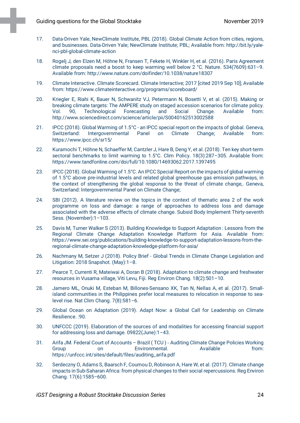- 17. Data-Driven Yale, NewClimate Institute, PBL (2018). Global Climate Action from cities, regions, and businesses. Data-Driven Yale; NewClimate Institute; PBL; Available from: http://bit.ly/yalenci-pbl-global-climate-action
- 18. Rogelj J, den Elzen M, Höhne N, Fransen T, Fekete H, Winkler H, et al. (2016). Paris Agreement climate proposals need a boost to keep warming well below 2 °C. Nature. 534(7609):631–9. Available from: http://www.nature.com/doifinder/10.1038/nature18307
- 19. Climate Interactive. Climate Scorecard. Climate Interactive; 2017 [cited 2019 Sep 10]; Available from: https://www.climateinteractive.org/programs/scoreboard/
- 20. Kriegler E, Riahi K, Bauer N, Schwanitz VJ, Petermann N, Bosetti V, et al. (2015). Making or breaking climate targets: The AMPERE study on staged accession scenarios for climate policy.<br>Vol. 90, Technological Forecasting and Social Change. Available from: Vol. 90, Technological Forecasting and Social Change. Available from: http://www.sciencedirect.com/science/article/pii/S0040162513002588
- 21. IPCC (2018). Global Warming of 1.5°C an IPCC special report on the impacts of global. Geneva, Switzerland: Intergovernmental Panel on Climate Change; Available from: https://www.ipcc.ch/sr15/
- 22. Kuramochi T, Höhne N, Schaeffer M, Cantzler J, Hare B, Deng Y, et al. (2018). Ten key short-term sectoral benchmarks to limit warming to 1.5°C. Clim Policy. 18(3):287–305. Available from: https://www.tandfonline.com/doi/full/10.1080/14693062.2017.1397495
- 23. IPCC (2018). Global Warming of 1.5°C. An IPCC Special Report on the impacts of global warming of 1.5°C above pre-industrial levels and related global greenhouse gas emission pathways, in the context of strengthening the global response to the threat of climate change,. Geneva, Switzerland: Intergovernmental Panel on Climate Change;
- 24. SBI (2012). A literature review on the topics in the context of thematic area 2 of the work programme on loss and damage: a range of approaches to address loss and damage associated with the adverse effects of climate change. Subsid Body Implement Thirty-seventh Sess. (November):1–103.
- 25. Davis M, Turner Walker S (2013). Building Knowledge to Support Adaptation : Lessons from the Regional Climate Change Adaptation Knowledge Platform for Asia. Available from: https://www.sei.org/publications/building-knowledge-to-support-adaptation-lessons-from-theregional-climate-change-adaptation-knowledge-platform-for-asia/
- 26. Nachmany M, Setzer J (2018). Policy Brief Global Trends in Climate Change Legislation and Litigation: 2018 Snapshot. (May):1–8.
- 27. Pearce T, Currenti R, Mateiwai A, Doran B (2018). Adaptation to climate change and freshwater resources in Vusama village, Viti Levu, Fiji. Reg Environ Chang. 18(2):501–10.
- 28. Jamero ML, Onuki M, Esteban M, Billones-Sensano XK, Tan N, Nellas A, et al. (2017). Smallisland communities in the Philippines prefer local measures to relocation in response to sealevel rise. Nat Clim Chang. 7(8):581–6.
- 29. Global Ocean on Adaptation (2019). Adapt Now: a Global Call for Leadership on Climate Resilience. :90.
- 30. UNFCCC (2019). Elaboration of the sources of and modalities for accessing financial support for addressing loss and damage. 09822(June):1–43.
- 31. Arifa JM. Federal Court of Accounts Brazil (TCU) Auditing Climate Change Policies Working<br>6 Environmental. Available from: Environmental. https://unfccc.int/sites/default/files/auditing\_arifa.pdf
- 32. Serdeczny O, Adams S, Baarsch F, Coumou D, Robinson A, Hare W, et al. (2017). Climate change impacts in Sub-Saharan Africa: from physical changes to their social repercussions. Reg Environ Chang. 17(6):1585–600.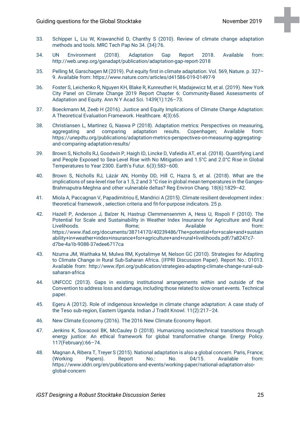- 33. Schipper L, Liu W, Krawanchid D, Chanthy S (2010). Review of climate change adaptation methods and tools. MRC Tech Pap No 34. (34):76.
- 34. UN Environment (2018). Adaptation Gap Report 2018. Available from: http://web.unep.org/ganadapt/publication/adaptation-gap-report-2018
- 35. Pelling M, Garschagen M (2019). Put equity first in climate adaptation. Vol. 569, Nature. p. 327– 9. Available from: https://www.nature.com/articles/d41586-019-01497-9
- 36. Foster S, Leichenko R, Nguyen KH, Blake R, Kunreuther H, Madajewicz M, et al. (2019). New York City Panel on Climate Change 2019 Report Chapter 6: Community-Based Assessments of Adaptation and Equity. Ann N Y Acad Sci. 1439(1):126–73.
- 37. Boeckmann M, Zeeb H (2016). Justice and Equity Implications of Climate Change Adaptation: A Theoretical Evaluation Framework. Healthcare. 4(3):65.
- 38. Christiansen L, Martinez G, Naswa P (2018). Adaptation metrics: Perspectives on measuring, aggregating and comparing adaptation results. Copenhagen; Available from: https://unepdtu.org/publications/adaptation-metrics-perspectives-on-measuring-aggregatingand-comparing-adaptation-results/
- 39. Brown S, Nicholls RJ, Goodwin P, Haigh ID, Lincke D, Vafeidis AT, et al. (2018). Quantifying Land and People Exposed to Sea-Level Rise with No Mitigation and 1.5°C and 2.0°C Rise in Global Temperatures to Year 2300. Earth's Futur. 6(3):583–600.
- 40. Brown S, Nicholls RJ, Lázár AN, Hornby DD, Hill C, Hazra S, et al. (2018). What are the implications of sea-level rise for a 1.5, 2 and 3 °C rise in global mean temperatures in the Ganges-Brahmaputra-Meghna and other vulnerable deltas? Reg Environ Chang. 18(6):1829–42.
- 41. Miola A, Paccagnan V, Papadimitriou E, Mandrici A (2015). Climate resilient development index : theoretical framework , selection criteria and fit-for-purpose indicators. 25 p.
- 42. Hazell P, Anderson J, Balzer N, Hastrup Clemmensenmm A, Hess U, Rispoli F (2010). The Potential for Scale and Sustainability in Weather Index Insurance for Agriculture and Rural Livelihoods. Rome; Available from: https://www.ifad.org/documents/38714170/40239486/The+potential+for+scale+and+sustain ability+in+weather+index+insurance+for+agriculture+and+rural+livelihoods.pdf/7a8247c7 d7be-4a1b-9088-37edee6717ca
- 43. Nzuma JM, Waithaka M, Mulwa RM, Kyotalimye M, Nelson GC (2010). Strategies for Adapting to Climate Change in Rural Sub-Saharan Africa. (IFPRI Discussion Paper). Report No.: 01013. Available from: http://www.ifpri.org/publication/strategies-adapting-climate-change-rural-subsaharan-africa
- 44. UNFCCC (2013). Gaps in existing institutional arrangements within and outside of the Convention to address loss and damage, including those related to slow onset events. Technical paper.
- 45. Egeru A (2012). Role of indigenous knowledge in climate change adaptation: A case study of the Teso sub-region, Eastern Uganda. Indian J Tradit Knowl. 11(2):217–24.
- 46. New Climate Economy (2016). The 2016 New Climate Economy Report.
- 47. Jenkins K, Sovacool BK, McCauley D (2018). Humanizing sociotechnical transitions through energy justice: An ethical framework for global transformative change. Energy Policy. 117(February):66–74.
- 48. Magnan A, Ribera T, Treyer S (2015). National adaptation is also a global concern. Paris, France; (Working Papers). Report No.: No. 04/15. Available from: https://www.iddri.org/en/publications-and-events/working-paper/national-adaptation-alsoglobal-concern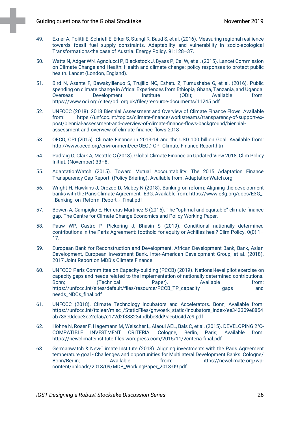- 49. Exner A, Politti E, Schriefl E, Erker S, Stangl R, Baud S, et al. (2016). Measuring regional resilience towards fossil fuel supply constraints. Adaptability and vulnerability in socio-ecological Transformations-the case of Austria. Energy Policy. 91:128–37.
- 50. Watts N, Adger WN, Agnolucci P, Blackstock J, Byass P, Cai W, et al. (2015). Lancet Commission on Climate Change and Health: Health and climate change: policy responses to protect public health. Lancet (London, England).
- 51. Bird N, Asante F, Bawakyillenuo S, Trujillo NC, Eshetu Z, Tumushabe G, et al. (2016). Public spending on climate change in Africa: Experiences from Ethiopia, Ghana, Tanzania, and Uganda. Overseas Development Institute (ODI); Available from: https://www.odi.org/sites/odi.org.uk/files/resource-documents/11245.pdf
- 52. UNFCCC (2018). 2018 Biennial Assessment and Overview of Climate Finance Flows. Available from: https://unfccc.int/topics/climate-finance/workstreams/transparency-of-support-expost/biennial-assessment-and-overview-of-climate-finance-flows-background/biennialassessment-and-overview-of-climate-finance-flows-2018
- 53. OECD, CPI (2015). Climate Finance in 2013-14 and the USD 100 billion Goal. Available from: http://www.oecd.org/environment/cc/OECD-CPI-Climate-Finance-Report.htm
- 54. Padraig O, Clark A, Meattle C (2018). Global Climate Finance an Updated View 2018. Clim Policy Initiat. (November):33–8.
- 55. AdaptationWatch (2015). Toward Mutual Accountability: The 2015 Adaptation Finance Transparency Gap Report. (Policy Briefing). Available from: AdaptationWatch.org
- 56. Wright H, Hawkins J, Orozco D, Mabey N (2018). Banking on reform: Aligning the development banks with the Paris Climate Agreement | E3G. Available from: https://www.e3g.org/docs/E3G\_- \_Banking\_on\_Reform\_Report\_-\_Final.pdf
- 57. Bowen A, Campiglio E, Herreras Martinez S (2015). The "optimal and equitable" climate finance gap. The Centre for Climate Change Economics and Policy Working Paper.
- 58. Pauw WP, Castro P, Pickering J, Bhasin S (2019). Conditional nationally determined contributions in the Paris Agreement: foothold for equity or Achilles heel? Clim Policy. 0(0):1– 17.
- 59. European Bank for Reconstruction and Development, African Development Bank, Bank, Asian Development, European Investment Bank, Inter-American Development Group, et al. (2018). 2017 Joint Report on MDB's Climate Finance.
- 60. UNFCCC Paris Committee on Capacity-building (PCCB) (2019). National-level pilot exercise on capacity gaps and needs related to the implementation of nationally determined contributions. Bonn; (Technical Paper). Available from: https://unfccc.int/sites/default/files/resource/PCCB\_TP\_capacity gaps and needs\_NDCs\_final.pdf
- 61. UNFCCC (2018). Climate Technology Incubators and Accelerators. Bonn; Available from: https://unfccc.int/ttclear/misc\_/StaticFiles/gnwoerk\_static/incubators\_index/ee343309e8854 ab783e0dcae3ec2cfa6/c172d2f388234bdbbe3dd9ae60e4d7e9.pdf
- 62. Höhne N, Röser F, Hagemann M, Weischer L, Alaoui AEL, Bals C, et al. (2015). DEVELOPING 2°C-COMPATIBLE INVESTMENT CRITERIA. Cologne, Berlin, Paris; Available from: https://newclimateinstitute.files.wordpress.com/2015/11/2criteria-final.pdf
- 63. Germanwatch & NewClimate Institute (2018). Aligning investments with the Paris Agreement temperature goal - Challenges and opportunities for Multilateral Development Banks. Cologne/ Bonn/Berlin; Available from: https://newclimate.org/wpcontent/uploads/2018/09/MDB\_WorkingPaper\_2018-09.pdf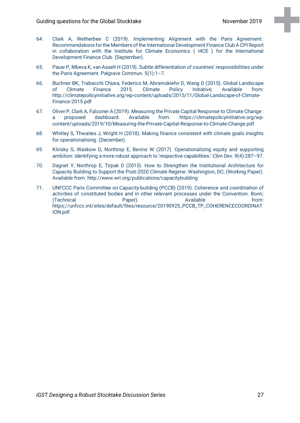- 64. Clark A, Wetherbee C (2019). Implementing Alignment with the Paris Agreement : Recommendations for the Members of the International Development Finance Club A CPI Report in collaboration with the Institute for Climate Economics ( I4CE ) for the International Development Finance Club. (September).
- 65. Pauw P, Mbeva K, van Asselt H (2019). Subtle differentiation of countries' responsibilities under the Paris Agreement. Palgrave Commun. 5(1):1–7.
- 66. Buchner BK, Trabacchi Chiara, Federico M, Abramskiehn D, Wang D (2015). Global Landscape of Climate Finance 2015. Climate Policy Initiative; Available from: http://climatepolicyinitiative.org/wp-content/uploads/2015/11/Global-Landscape-of-Climate-Finance-2015.pdf
- 67. Oliver P, Clark A, Falconer A (2019). Measuring the Private Capital Response to Climate Change : a proposed dashboard. Available from: https://climatepolicyinitiative.org/wpcontent/uploads/2019/10/Measuring-the-Private-Capital-Response-to-Climate-Change.pdf
- 68. Whitley S, Thwaites J, Wright H (2018). Making finance consistent with climate goals Insights for operationalising. (December).
- 69. Klinsky S, Waskow D, Northrop E, Bevins W (2017). Operationalizing equity and supporting ambition: identifying a more robust approach to 'respective capabilities.' Clim Dev. 9(4):287–97.
- 70. Dagnet Y, Northrop E, Tirpak D (2015). How to Strengthen the Institutional Architecture for Capacity Building to Support the Post-2020 Climate Regime. Washington, DC; (Working Paper). Available from: http://www.wri.org/publications/capacitybuilding
- 71. UNFCCC Paris Committee on Capacity-building (PCCB) (2019). Coherence and coordination of activities of constituted bodies and in other relevant processes under the Convention. Bonn; (Technical Paper). Available from: https://unfccc.int/sites/default/files/resource/20190925\_PCCB\_TP\_COHERENCECOORDINAT ION.pdf